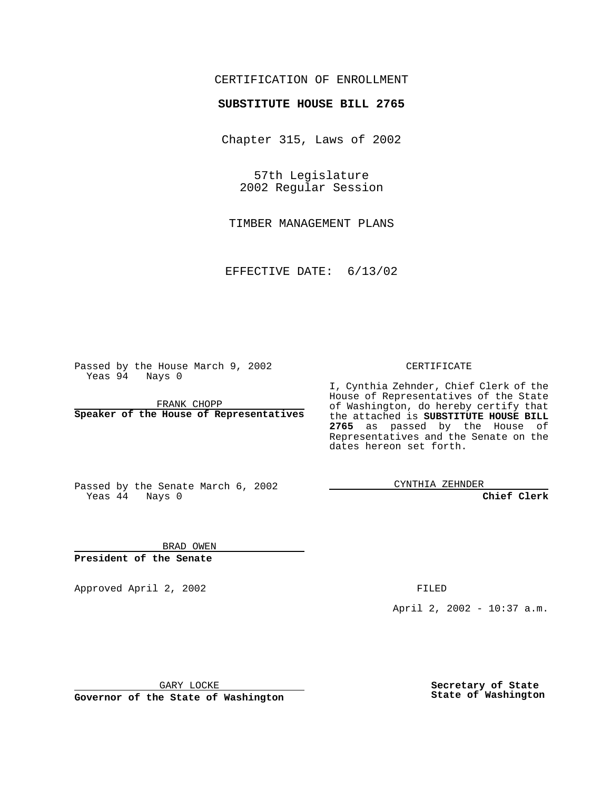## CERTIFICATION OF ENROLLMENT

## **SUBSTITUTE HOUSE BILL 2765**

Chapter 315, Laws of 2002

57th Legislature 2002 Regular Session

TIMBER MANAGEMENT PLANS

EFFECTIVE DATE: 6/13/02

Passed by the House March 9, 2002 Yeas 94 Nays 0

FRANK CHOPP **Speaker of the House of Representatives** CERTIFICATE

I, Cynthia Zehnder, Chief Clerk of the House of Representatives of the State of Washington, do hereby certify that the attached is **SUBSTITUTE HOUSE BILL 2765** as passed by the House of Representatives and the Senate on the dates hereon set forth.

Passed by the Senate March 6, 2002 Yeas 44 Nays 0

CYNTHIA ZEHNDER

**Chief Clerk**

BRAD OWEN **President of the Senate**

Approved April 2, 2002 FILED

April 2, 2002 - 10:37 a.m.

GARY LOCKE

**Governor of the State of Washington**

**Secretary of State State of Washington**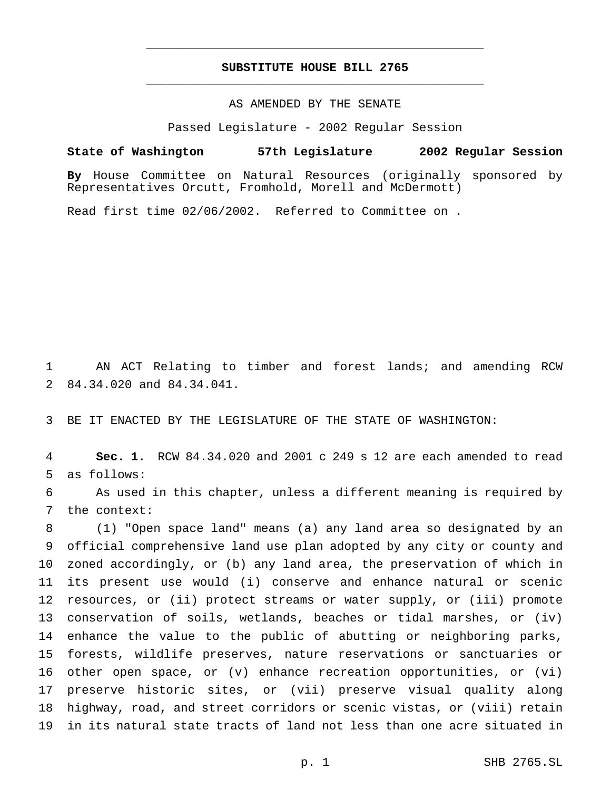## **SUBSTITUTE HOUSE BILL 2765** \_\_\_\_\_\_\_\_\_\_\_\_\_\_\_\_\_\_\_\_\_\_\_\_\_\_\_\_\_\_\_\_\_\_\_\_\_\_\_\_\_\_\_\_\_\_\_

\_\_\_\_\_\_\_\_\_\_\_\_\_\_\_\_\_\_\_\_\_\_\_\_\_\_\_\_\_\_\_\_\_\_\_\_\_\_\_\_\_\_\_\_\_\_\_

## AS AMENDED BY THE SENATE

Passed Legislature - 2002 Regular Session

**State of Washington 57th Legislature 2002 Regular Session**

**By** House Committee on Natural Resources (originally sponsored by Representatives Orcutt, Fromhold, Morell and McDermott)

Read first time 02/06/2002. Referred to Committee on .

 AN ACT Relating to timber and forest lands; and amending RCW 84.34.020 and 84.34.041.

BE IT ENACTED BY THE LEGISLATURE OF THE STATE OF WASHINGTON:

 **Sec. 1.** RCW 84.34.020 and 2001 c 249 s 12 are each amended to read as follows:

 As used in this chapter, unless a different meaning is required by the context:

 (1) "Open space land" means (a) any land area so designated by an official comprehensive land use plan adopted by any city or county and zoned accordingly, or (b) any land area, the preservation of which in its present use would (i) conserve and enhance natural or scenic resources, or (ii) protect streams or water supply, or (iii) promote conservation of soils, wetlands, beaches or tidal marshes, or (iv) enhance the value to the public of abutting or neighboring parks, forests, wildlife preserves, nature reservations or sanctuaries or other open space, or (v) enhance recreation opportunities, or (vi) preserve historic sites, or (vii) preserve visual quality along highway, road, and street corridors or scenic vistas, or (viii) retain in its natural state tracts of land not less than one acre situated in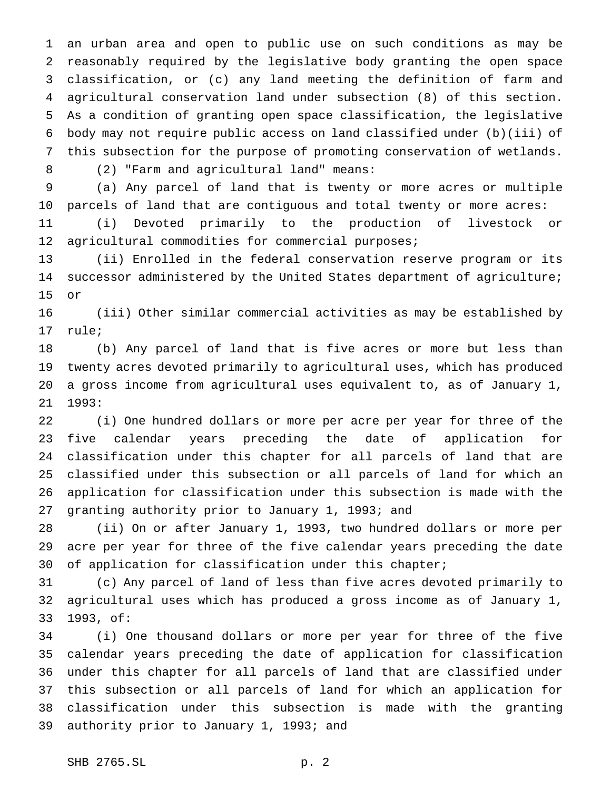an urban area and open to public use on such conditions as may be reasonably required by the legislative body granting the open space classification, or (c) any land meeting the definition of farm and agricultural conservation land under subsection (8) of this section. As a condition of granting open space classification, the legislative body may not require public access on land classified under (b)(iii) of this subsection for the purpose of promoting conservation of wetlands.

(2) "Farm and agricultural land" means:

 (a) Any parcel of land that is twenty or more acres or multiple parcels of land that are contiguous and total twenty or more acres:

 (i) Devoted primarily to the production of livestock or agricultural commodities for commercial purposes;

 (ii) Enrolled in the federal conservation reserve program or its successor administered by the United States department of agriculture; or

 (iii) Other similar commercial activities as may be established by rule;

 (b) Any parcel of land that is five acres or more but less than twenty acres devoted primarily to agricultural uses, which has produced a gross income from agricultural uses equivalent to, as of January 1, 1993:

 (i) One hundred dollars or more per acre per year for three of the five calendar years preceding the date of application for classification under this chapter for all parcels of land that are classified under this subsection or all parcels of land for which an application for classification under this subsection is made with the granting authority prior to January 1, 1993; and

 (ii) On or after January 1, 1993, two hundred dollars or more per acre per year for three of the five calendar years preceding the date 30 of application for classification under this chapter;

 (c) Any parcel of land of less than five acres devoted primarily to agricultural uses which has produced a gross income as of January 1, 1993, of:

 (i) One thousand dollars or more per year for three of the five calendar years preceding the date of application for classification under this chapter for all parcels of land that are classified under this subsection or all parcels of land for which an application for classification under this subsection is made with the granting authority prior to January 1, 1993; and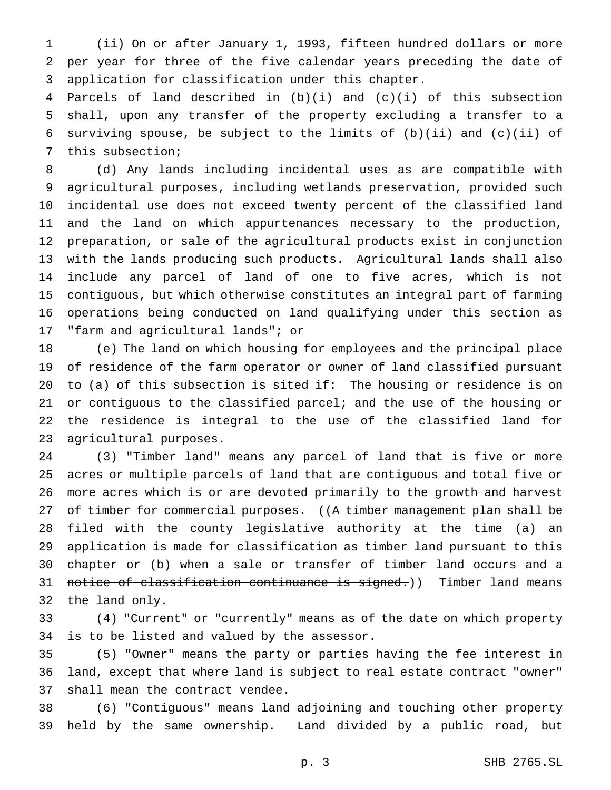(ii) On or after January 1, 1993, fifteen hundred dollars or more per year for three of the five calendar years preceding the date of application for classification under this chapter.

 Parcels of land described in (b)(i) and (c)(i) of this subsection shall, upon any transfer of the property excluding a transfer to a surviving spouse, be subject to the limits of (b)(ii) and (c)(ii) of this subsection;

 (d) Any lands including incidental uses as are compatible with agricultural purposes, including wetlands preservation, provided such incidental use does not exceed twenty percent of the classified land and the land on which appurtenances necessary to the production, preparation, or sale of the agricultural products exist in conjunction with the lands producing such products. Agricultural lands shall also include any parcel of land of one to five acres, which is not contiguous, but which otherwise constitutes an integral part of farming operations being conducted on land qualifying under this section as "farm and agricultural lands"; or

 (e) The land on which housing for employees and the principal place of residence of the farm operator or owner of land classified pursuant to (a) of this subsection is sited if: The housing or residence is on or contiguous to the classified parcel; and the use of the housing or the residence is integral to the use of the classified land for agricultural purposes.

 (3) "Timber land" means any parcel of land that is five or more acres or multiple parcels of land that are contiguous and total five or more acres which is or are devoted primarily to the growth and harvest 27 of timber for commercial purposes. ((A timber management plan shall be 28 f<del>iled with the county legislative authority at the time (a) an</del> application is made for classification as timber land pursuant to this chapter or (b) when a sale or transfer of timber land occurs and a 31 notice of classification continuance is signed.)) Timber land means the land only.

 (4) "Current" or "currently" means as of the date on which property is to be listed and valued by the assessor.

 (5) "Owner" means the party or parties having the fee interest in land, except that where land is subject to real estate contract "owner" shall mean the contract vendee.

 (6) "Contiguous" means land adjoining and touching other property held by the same ownership. Land divided by a public road, but

p. 3 SHB 2765.SL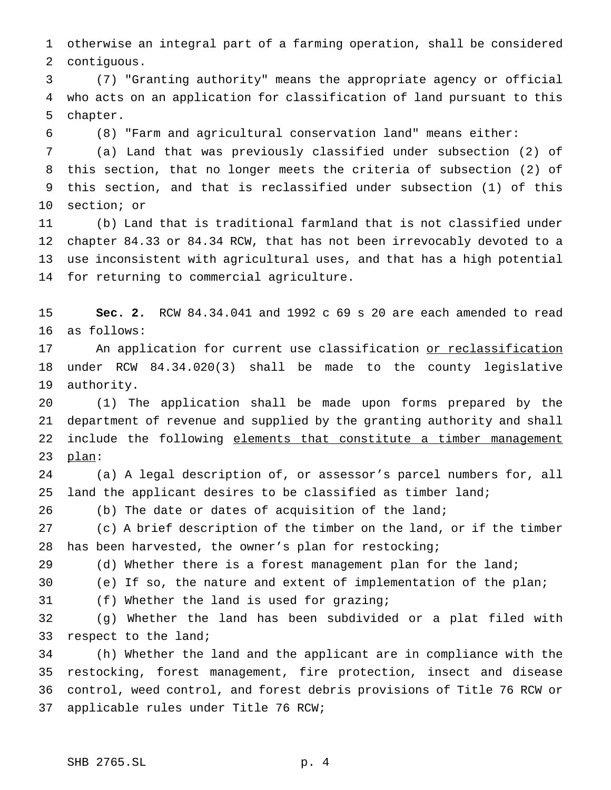otherwise an integral part of a farming operation, shall be considered contiguous.

 (7) "Granting authority" means the appropriate agency or official who acts on an application for classification of land pursuant to this chapter.

(8) "Farm and agricultural conservation land" means either:

 (a) Land that was previously classified under subsection (2) of this section, that no longer meets the criteria of subsection (2) of this section, and that is reclassified under subsection (1) of this section; or

 (b) Land that is traditional farmland that is not classified under chapter 84.33 or 84.34 RCW, that has not been irrevocably devoted to a use inconsistent with agricultural uses, and that has a high potential for returning to commercial agriculture.

 **Sec. 2.** RCW 84.34.041 and 1992 c 69 s 20 are each amended to read as follows:

17 An application for current use classification or reclassification under RCW 84.34.020(3) shall be made to the county legislative authority.

 (1) The application shall be made upon forms prepared by the department of revenue and supplied by the granting authority and shall 22 include the following elements that constitute a timber management plan:

 (a) A legal description of, or assessor's parcel numbers for, all 25 land the applicant desires to be classified as timber land;

(b) The date or dates of acquisition of the land;

 (c) A brief description of the timber on the land, or if the timber has been harvested, the owner's plan for restocking;

29 (d) Whether there is a forest management plan for the land;

(e) If so, the nature and extent of implementation of the plan;

(f) Whether the land is used for grazing;

 (g) Whether the land has been subdivided or a plat filed with respect to the land;

 (h) Whether the land and the applicant are in compliance with the restocking, forest management, fire protection, insect and disease control, weed control, and forest debris provisions of Title 76 RCW or applicable rules under Title 76 RCW;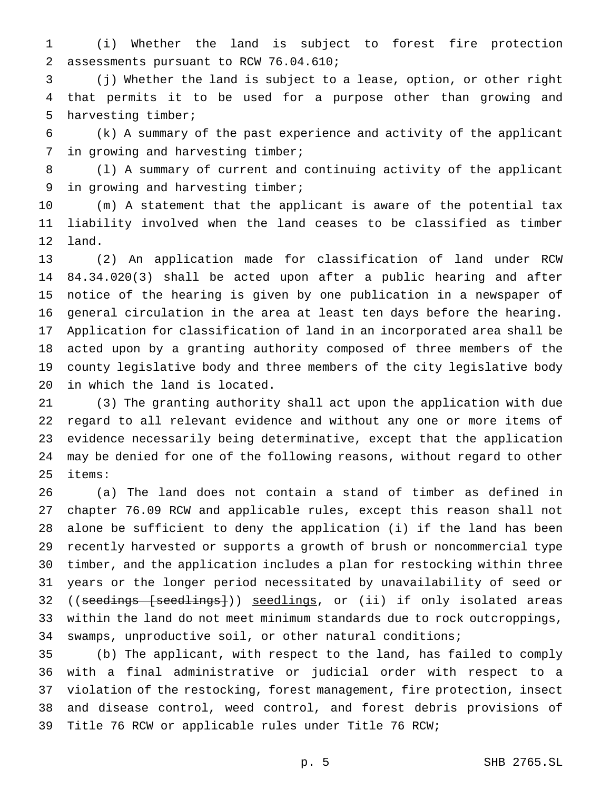(i) Whether the land is subject to forest fire protection assessments pursuant to RCW 76.04.610;

 (j) Whether the land is subject to a lease, option, or other right that permits it to be used for a purpose other than growing and harvesting timber;

 (k) A summary of the past experience and activity of the applicant in growing and harvesting timber;

 (l) A summary of current and continuing activity of the applicant in growing and harvesting timber;

 (m) A statement that the applicant is aware of the potential tax liability involved when the land ceases to be classified as timber land.

 (2) An application made for classification of land under RCW 84.34.020(3) shall be acted upon after a public hearing and after notice of the hearing is given by one publication in a newspaper of general circulation in the area at least ten days before the hearing. Application for classification of land in an incorporated area shall be acted upon by a granting authority composed of three members of the county legislative body and three members of the city legislative body in which the land is located.

 (3) The granting authority shall act upon the application with due regard to all relevant evidence and without any one or more items of evidence necessarily being determinative, except that the application may be denied for one of the following reasons, without regard to other items:

 (a) The land does not contain a stand of timber as defined in chapter 76.09 RCW and applicable rules, except this reason shall not alone be sufficient to deny the application (i) if the land has been recently harvested or supports a growth of brush or noncommercial type timber, and the application includes a plan for restocking within three years or the longer period necessitated by unavailability of seed or 32 ((seedings [seedlings])) seedlings, or (ii) if only isolated areas within the land do not meet minimum standards due to rock outcroppings, swamps, unproductive soil, or other natural conditions;

 (b) The applicant, with respect to the land, has failed to comply with a final administrative or judicial order with respect to a violation of the restocking, forest management, fire protection, insect and disease control, weed control, and forest debris provisions of Title 76 RCW or applicable rules under Title 76 RCW;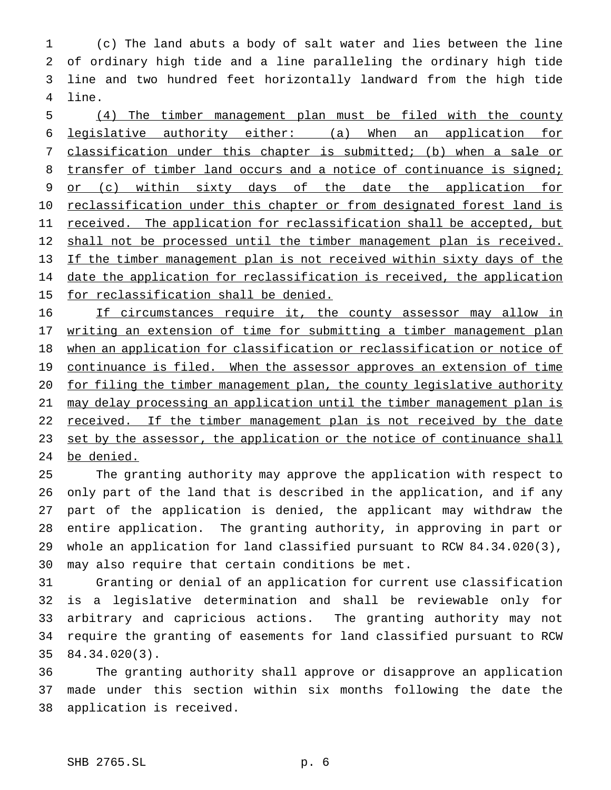(c) The land abuts a body of salt water and lies between the line of ordinary high tide and a line paralleling the ordinary high tide line and two hundred feet horizontally landward from the high tide line.

 (4) The timber management plan must be filed with the county legislative authority either: (a) When an application for classification under this chapter is submitted; (b) when a sale or 8 transfer of timber land occurs and a notice of continuance is signed; 9 or (c) within sixty days of the date the application for 10 reclassification under this chapter or from designated forest land is 11 received. The application for reclassification shall be accepted, but 12 shall not be processed until the timber management plan is received. If the timber management plan is not received within sixty days of the 14 date the application for reclassification is received, the application 15 for reclassification shall be denied.

16 If circumstances require it, the county assessor may allow in 17 writing an extension of time for submitting a timber management plan 18 when an application for classification or reclassification or notice of 19 continuance is filed. When the assessor approves an extension of time for filing the timber management plan, the county legislative authority may delay processing an application until the timber management plan is 22 received. If the timber management plan is not received by the date 23 set by the assessor, the application or the notice of continuance shall be denied.

 The granting authority may approve the application with respect to only part of the land that is described in the application, and if any part of the application is denied, the applicant may withdraw the entire application. The granting authority, in approving in part or whole an application for land classified pursuant to RCW 84.34.020(3), may also require that certain conditions be met.

 Granting or denial of an application for current use classification is a legislative determination and shall be reviewable only for arbitrary and capricious actions. The granting authority may not require the granting of easements for land classified pursuant to RCW 84.34.020(3).

 The granting authority shall approve or disapprove an application made under this section within six months following the date the application is received.